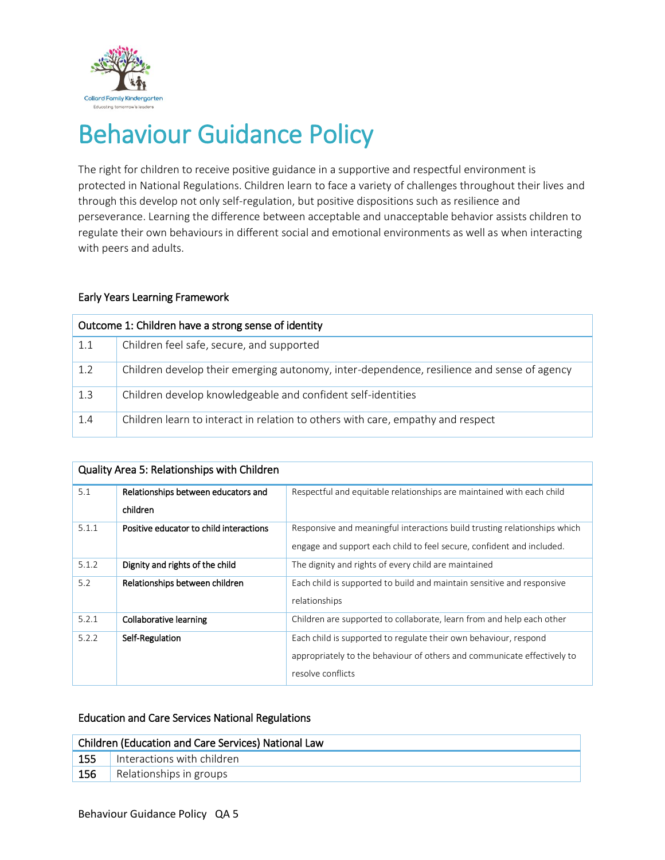

# Behaviour Guidance Policy

The right for children to receive positive guidance in a supportive and respectful environment is protected in National Regulations. Children learn to face a variety of challenges throughout their lives and through this develop not only self-regulation, but positive dispositions such as resilience and perseverance. Learning the difference between acceptable and unacceptable behavior assists children to regulate their own behaviours in different social and emotional environments as well as when interacting with peers and adults.

### Early Years Learning Framework

| Outcome 1: Children have a strong sense of identity |                                                                                            |  |  |
|-----------------------------------------------------|--------------------------------------------------------------------------------------------|--|--|
| 1.1                                                 | Children feel safe, secure, and supported                                                  |  |  |
| 1.2                                                 | Children develop their emerging autonomy, inter-dependence, resilience and sense of agency |  |  |
| 1.3                                                 | Children develop knowledgeable and confident self-identities                               |  |  |
| 1.4                                                 | Children learn to interact in relation to others with care, empathy and respect            |  |  |

| Quality Area 5: Relationships with Children |                                         |                                                                           |  |  |  |
|---------------------------------------------|-----------------------------------------|---------------------------------------------------------------------------|--|--|--|
| 5.1                                         | Relationships between educators and     | Respectful and equitable relationships are maintained with each child     |  |  |  |
|                                             | children                                |                                                                           |  |  |  |
| 5.1.1                                       | Positive educator to child interactions | Responsive and meaningful interactions build trusting relationships which |  |  |  |
|                                             |                                         | engage and support each child to feel secure, confident and included.     |  |  |  |
| 5.1.2                                       | Dignity and rights of the child         | The dignity and rights of every child are maintained                      |  |  |  |
| 5.2                                         | Relationships between children          | Each child is supported to build and maintain sensitive and responsive    |  |  |  |
|                                             |                                         | relationships                                                             |  |  |  |
| 5.2.1                                       | Collaborative learning                  | Children are supported to collaborate, learn from and help each other     |  |  |  |
| 5.2.2                                       | Self-Regulation                         | Each child is supported to regulate their own behaviour, respond          |  |  |  |
|                                             |                                         | appropriately to the behaviour of others and communicate effectively to   |  |  |  |
|                                             |                                         | resolve conflicts                                                         |  |  |  |

## Education and Care Services National Regulations

| Children (Education and Care Services) National Law |                            |  |  |
|-----------------------------------------------------|----------------------------|--|--|
| $155$                                               | Interactions with children |  |  |
| 156                                                 | Relationships in groups    |  |  |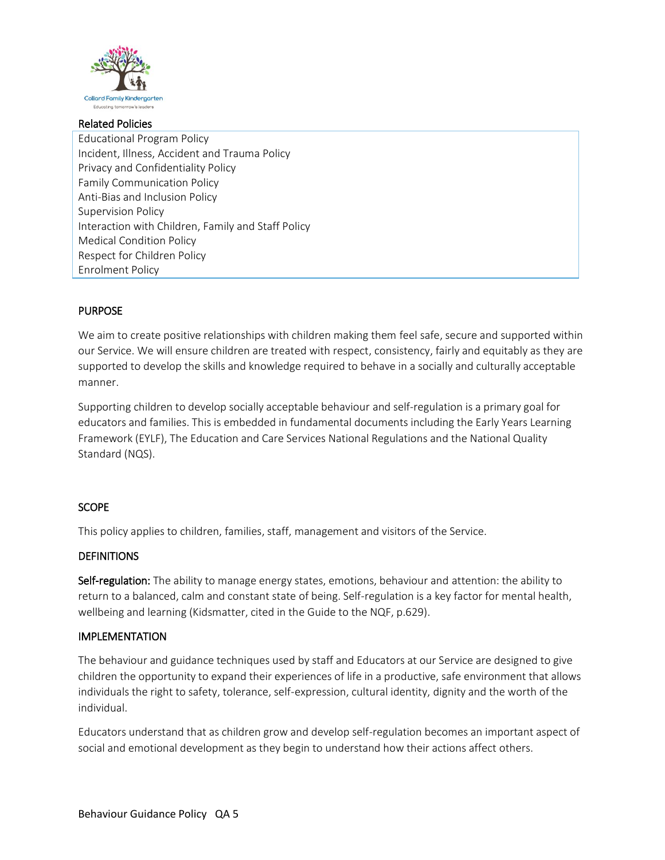

#### Related Policies

Educational Program Policy Incident, Illness, Accident and Trauma Policy Privacy and Confidentiality Policy Family Communication Policy Anti-Bias and Inclusion Policy Supervision Policy Interaction with Children, Family and Staff Policy Medical Condition Policy Respect for Children Policy Enrolment Policy

## PURPOSE

We aim to create positive relationships with children making them feel safe, secure and supported within our Service. We will ensure children are treated with respect, consistency, fairly and equitably as they are supported to develop the skills and knowledge required to behave in a socially and culturally acceptable manner.

Supporting children to develop socially acceptable behaviour and self-regulation is a primary goal for educators and families. This is embedded in fundamental documents including the Early Years Learning Framework (EYLF), The Education and Care Services National Regulations and the National Quality Standard (NQS).

## **SCOPE**

This policy applies to children, families, staff, management and visitors of the Service.

# **DEFINITIONS**

Self-regulation: The ability to manage energy states, emotions, behaviour and attention: the ability to return to a balanced, calm and constant state of being. Self-regulation is a key factor for mental health, wellbeing and learning (Kidsmatter, cited in the Guide to the NQF, p.629).

# IMPLEMENTATION

The behaviour and guidance techniques used by staff and Educators at our Service are designed to give children the opportunity to expand their experiences of life in a productive, safe environment that allows individuals the right to safety, tolerance, self-expression, cultural identity, dignity and the worth of the individual.

Educators understand that as children grow and develop self-regulation becomes an important aspect of social and emotional development as they begin to understand how their actions affect others.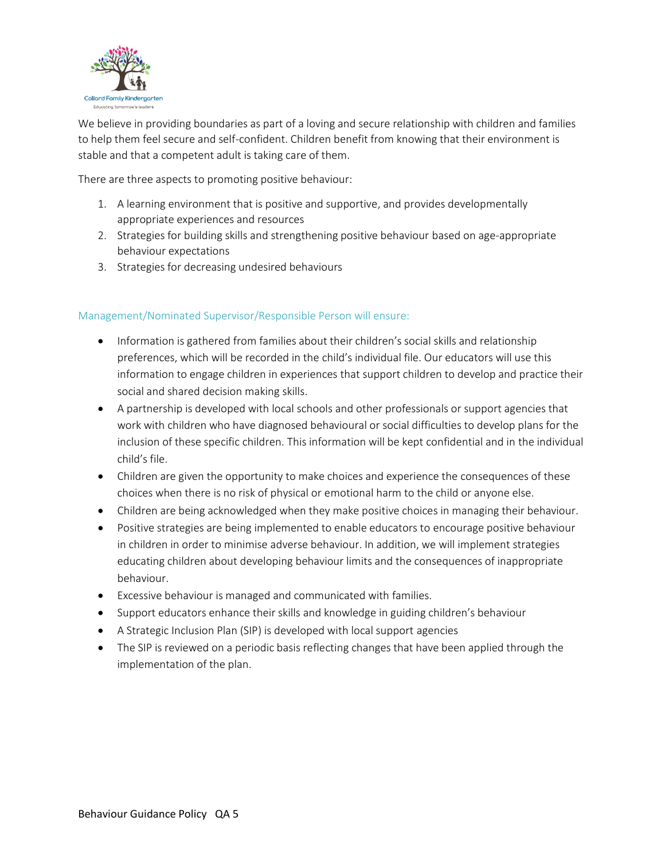

We believe in providing boundaries as part of a loving and secure relationship with children and families to help them feel secure and self-confident. Children benefit from knowing that their environment is stable and that a competent adult is taking care of them.

There are three aspects to promoting positive behaviour:

- 1. A learning environment that is positive and supportive, and provides developmentally appropriate experiences and resources
- 2. Strategies for building skills and strengthening positive behaviour based on age-appropriate behaviour expectations
- 3. Strategies for decreasing undesired behaviours

## Management/Nominated Supervisor/Responsible Person will ensure:

- Information is gathered from families about their children's social skills and relationship preferences, which will be recorded in the child's individual file. Our educators will use this information to engage children in experiences that support children to develop and practice their social and shared decision making skills.
- A partnership is developed with local schools and other professionals or support agencies that work with children who have diagnosed behavioural or social difficulties to develop plans for the inclusion of these specific children. This information will be kept confidential and in the individual child's file.
- Children are given the opportunity to make choices and experience the consequences of these choices when there is no risk of physical or emotional harm to the child or anyone else.
- Children are being acknowledged when they make positive choices in managing their behaviour.
- Positive strategies are being implemented to enable educators to encourage positive behaviour in children in order to minimise adverse behaviour. In addition, we will implement strategies educating children about developing behaviour limits and the consequences of inappropriate behaviour.
- Excessive behaviour is managed and communicated with families.
- Support educators enhance their skills and knowledge in guiding children's behaviour
- A Strategic Inclusion Plan (SIP) is developed with local support agencies
- The SIP is reviewed on a periodic basis reflecting changes that have been applied through the implementation of the plan.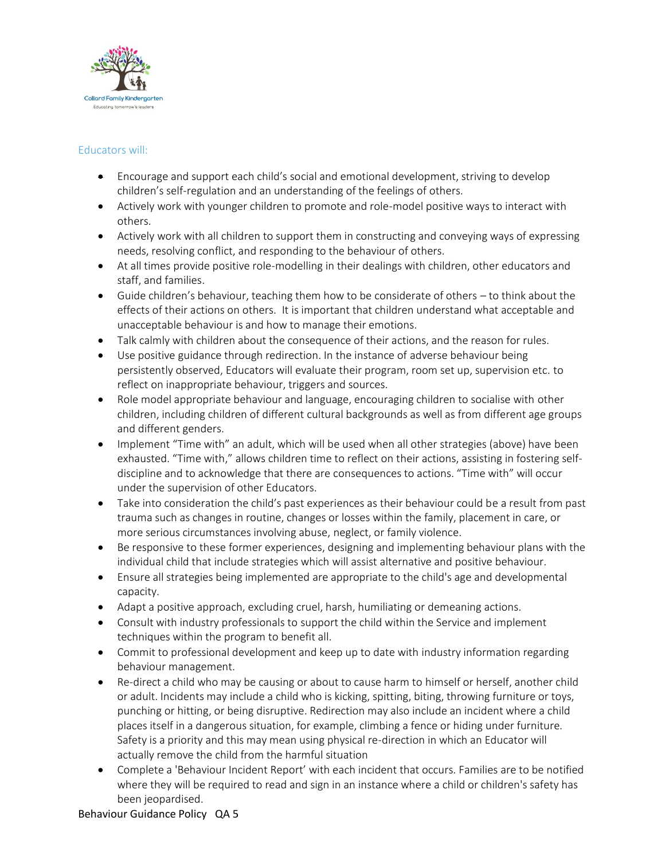

## Educators will:

- Encourage and support each child's social and emotional development, striving to develop children's self-regulation and an understanding of the feelings of others.
- Actively work with younger children to promote and role-model positive ways to interact with others.
- Actively work with all children to support them in constructing and conveying ways of expressing needs, resolving conflict, and responding to the behaviour of others.
- At all times provide positive role-modelling in their dealings with children, other educators and staff, and families.
- Guide children's behaviour, teaching them how to be considerate of others to think about the effects of their actions on others. It is important that children understand what acceptable and unacceptable behaviour is and how to manage their emotions.
- Talk calmly with children about the consequence of their actions, and the reason for rules.
- Use positive guidance through redirection. In the instance of adverse behaviour being persistently observed, Educators will evaluate their program, room set up, supervision etc. to reflect on inappropriate behaviour, triggers and sources.
- Role model appropriate behaviour and language, encouraging children to socialise with other children, including children of different cultural backgrounds as well as from different age groups and different genders.
- Implement "Time with" an adult, which will be used when all other strategies (above) have been exhausted. "Time with," allows children time to reflect on their actions, assisting in fostering selfdiscipline and to acknowledge that there are consequences to actions. "Time with" will occur under the supervision of other Educators.
- Take into consideration the child's past experiences as their behaviour could be a result from past trauma such as changes in routine, changes or losses within the family, placement in care, or more serious circumstances involving abuse, neglect, or family violence.
- Be responsive to these former experiences, designing and implementing behaviour plans with the individual child that include strategies which will assist alternative and positive behaviour.
- Ensure all strategies being implemented are appropriate to the child's age and developmental capacity.
- Adapt a positive approach, excluding cruel, harsh, humiliating or demeaning actions.
- Consult with industry professionals to support the child within the Service and implement techniques within the program to benefit all.
- Commit to professional development and keep up to date with industry information regarding behaviour management.
- Re-direct a child who may be causing or about to cause harm to himself or herself, another child or adult. Incidents may include a child who is kicking, spitting, biting, throwing furniture or toys, punching or hitting, or being disruptive. Redirection may also include an incident where a child places itself in a dangerous situation, for example, climbing a fence or hiding under furniture. Safety is a priority and this may mean using physical re-direction in which an Educator will actually remove the child from the harmful situation
- Complete a 'Behaviour Incident Report' with each incident that occurs. Families are to be notified where they will be required to read and sign in an instance where a child or children's safety has been jeopardised.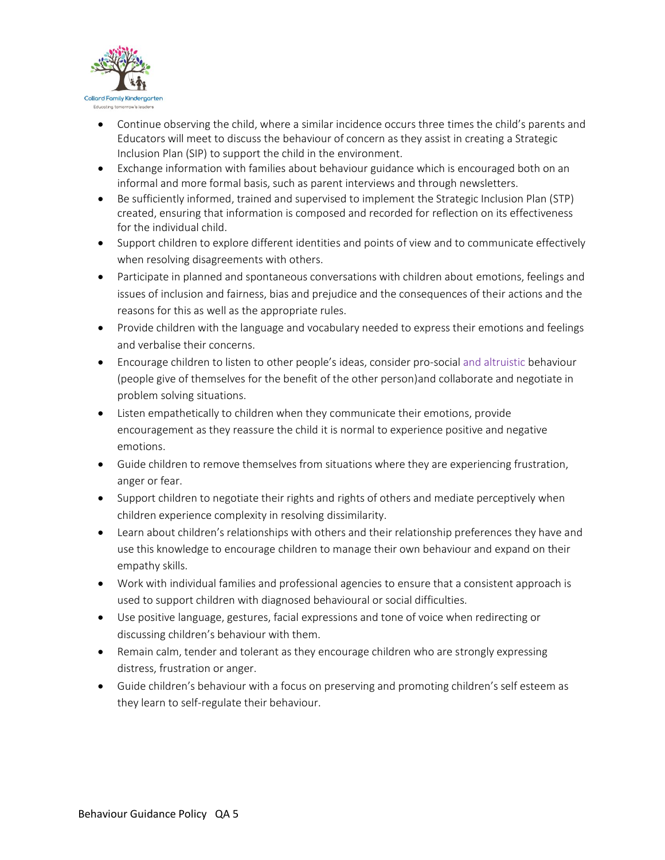

- Continue observing the child, where a similar incidence occurs three times the child's parents and Educators will meet to discuss the behaviour of concern as they assist in creating a Strategic Inclusion Plan (SIP) to support the child in the environment.
- Exchange information with families about behaviour guidance which is encouraged both on an informal and more formal basis, such as parent interviews and through newsletters.
- Be sufficiently informed, trained and supervised to implement the Strategic Inclusion Plan (STP) created, ensuring that information is composed and recorded for reflection on its effectiveness for the individual child.
- Support children to explore different identities and points of view and to communicate effectively when resolving disagreements with others.
- Participate in planned and spontaneous conversations with children about emotions, feelings and issues of inclusion and fairness, bias and prejudice and the consequences of their actions and the reasons for this as well as the appropriate rules.
- Provide children with the language and vocabulary needed to express their emotions and feelings and verbalise their concerns.
- Encourage children to listen to other people's ideas, consider pro-social and altruistic behaviour (people give of themselves for the benefit of the other person)and collaborate and negotiate in problem solving situations.
- Listen empathetically to children when they communicate their emotions, provide encouragement as they reassure the child it is normal to experience positive and negative emotions.
- Guide children to remove themselves from situations where they are experiencing frustration, anger or fear.
- Support children to negotiate their rights and rights of others and mediate perceptively when children experience complexity in resolving dissimilarity.
- Learn about children's relationships with others and their relationship preferences they have and use this knowledge to encourage children to manage their own behaviour and expand on their empathy skills.
- Work with individual families and professional agencies to ensure that a consistent approach is used to support children with diagnosed behavioural or social difficulties.
- Use positive language, gestures, facial expressions and tone of voice when redirecting or discussing children's behaviour with them.
- Remain calm, tender and tolerant as they encourage children who are strongly expressing distress, frustration or anger.
- Guide children's behaviour with a focus on preserving and promoting children's self esteem as they learn to self-regulate their behaviour.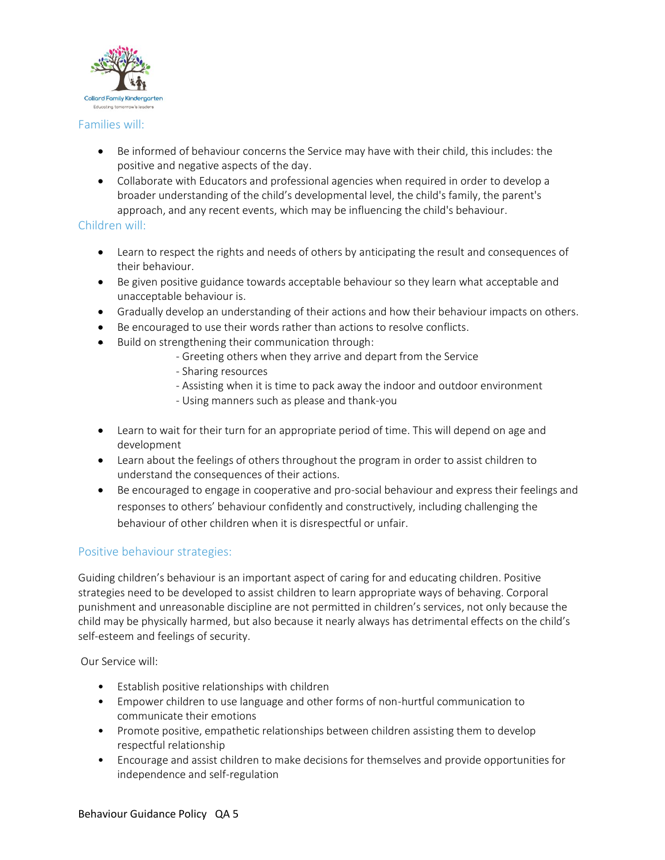

## Families will:

- Be informed of behaviour concerns the Service may have with their child, this includes: the positive and negative aspects of the day.
- Collaborate with Educators and professional agencies when required in order to develop a broader understanding of the child's developmental level, the child's family, the parent's approach, and any recent events, which may be influencing the child's behaviour.

## Children will:

- Learn to respect the rights and needs of others by anticipating the result and consequences of their behaviour.
- Be given positive guidance towards acceptable behaviour so they learn what acceptable and unacceptable behaviour is.
- Gradually develop an understanding of their actions and how their behaviour impacts on others.
- Be encouraged to use their words rather than actions to resolve conflicts.
- Build on strengthening their communication through:
	- Greeting others when they arrive and depart from the Service
	- Sharing resources
	- Assisting when it is time to pack away the indoor and outdoor environment
	- Using manners such as please and thank-you
- Learn to wait for their turn for an appropriate period of time. This will depend on age and development
- Learn about the feelings of others throughout the program in order to assist children to understand the consequences of their actions.
- Be encouraged to engage in cooperative and pro-social behaviour and express their feelings and responses to others' behaviour confidently and constructively, including challenging the behaviour of other children when it is disrespectful or unfair.

## Positive behaviour strategies:

Guiding children's behaviour is an important aspect of caring for and educating children. Positive strategies need to be developed to assist children to learn appropriate ways of behaving. Corporal punishment and unreasonable discipline are not permitted in children's services, not only because the child may be physically harmed, but also because it nearly always has detrimental effects on the child's self-esteem and feelings of security.

Our Service will:

- Establish positive relationships with children
- Empower children to use language and other forms of non-hurtful communication to communicate their emotions
- Promote positive, empathetic relationships between children assisting them to develop respectful relationship
- Encourage and assist children to make decisions for themselves and provide opportunities for independence and self-regulation